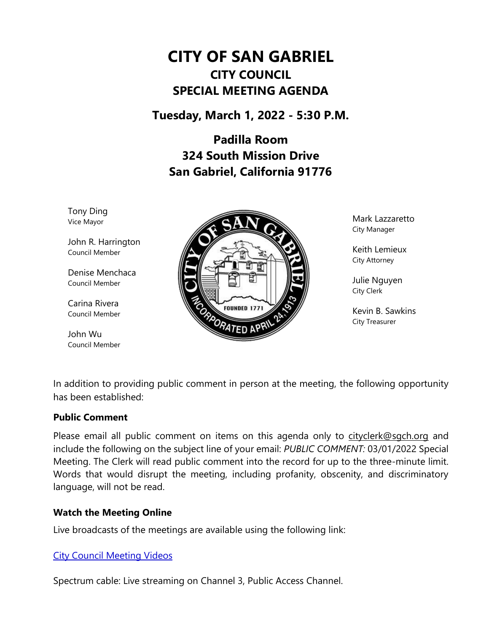# **CITY OF SAN GABRIEL CITY COUNCIL SPECIAL MEETING AGENDA**

**Tuesday, March 1, 2022 - 5:30 P.M.**

**Padilla Room 324 South Mission Drive San Gabriel, California 91776**

Tony Ding Vice Mayor

John R. Harrington Council Member

Denise Menchaca Council Member

Carina Rivera Council Member

John Wu Council Member



Mark Lazzaretto City Manager

Keith Lemieux City Attorney

Julie Nguyen City Clerk

Kevin B. Sawkins City Treasurer

In addition to providing public comment in person at the meeting, the following opportunity has been established:

#### **Public Comment**

Please email all public comment on items on this agenda only to [cityclerk@sgch.org](mailto:cityclerk@sgch.org) and include the following on the subject line of your email: *PUBLIC COMMENT:* 03/01/2022 Special Meeting. The Clerk will read public comment into the record for up to the three-minute limit. Words that would disrupt the meeting, including profanity, obscenity, and discriminatory language, will not be read.

#### **Watch the Meeting Online**

Live broadcasts of the meetings are available using the following link:

#### [City Council Meeting Videos](https://www.youtube.com/CityofSanGabriel)

Spectrum cable: Live streaming on Channel 3, Public Access Channel.